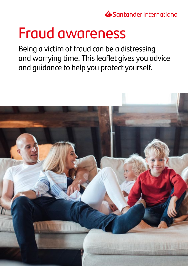

# Fraud awareness

Being a victim of fraud can be a distressing and worrying time. This leaflet gives you advice and guidance to help you protect yourself.

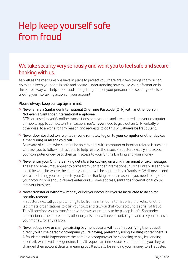## Help keep yourself safe from fraud

## We take security very seriously and want you to feel safe and secure banking with us.

As well as the measures we have in place to protect you, there are a few things that you can do to help keep your details safe and secure. Understanding how to use your information in the correct way will help stop fraudsters getting hold of your personal and security details or tricking you into taking action on your account.

### Please always keep our top tips in mind:

 $\circ$  Never share a Santander International One Time Passcode (OTP) with another person. Not even a Santander International employee.

OTPs are used to verify online transactions or payments and are entered into your computer or mobile app to complete a transaction. You'll never need to give out an OTP, verbally or otherwise, to anyone for any reason and requests to do this will always be fraudulent.

 $\circ$  Never download software or let anyone remotely log on to your computer or other devices, either during or after a cold call.

Be aware of callers who claim to be able to help with computer or internet related issues and who ask you to follow instructions to help resolve the issue. Fraudsters will try and access your computer or device to then gain access to your Online Banking and your money.

 $\circ$  Never enter your Online Banking details after clicking on a link in an email or text message. The text or email may appear to come from Santander International but the links will send you to a fake website where the details you enter will be captured by a fraudster. We'll never send you a link telling you to log on to your Online Banking for any reason. If you need to log onto your account, you should always enter our full web address, santanderinternational.co.uk, into your browser.

 $\circ$  Never transfer or withdraw money out of your account if you're instructed to do so for security reasons.

Fraudsters will call you pretending to be from Santander International, the Police or other legitimate organisations to gain your trust and tell you that your account is at risk of fraud. They'll convince you to transfer or withdraw your money to help keep it safe. Santander International, the Police or any other organisation will never contact you and ask you to move your money, for any reason.

 $\circ$  Never set up new or change existing payment details without first verifying the request directly with the person or company you're paying, preferably using existing contact details. A fraudster could impersonate the person or company you're expecting to pay by sending an email, which will look genuine. They'll request an immediate payment or tell you they've changed their account details, meaning you'll actually be sending your money to a fraudster.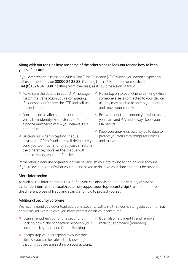### Along with our top tips here are some of the other signs to look out for and how to keep yourself secure:

If you ever receive a message with a One Time Passcode (OTP) which you weren't expecting, call us immediately on 08000 84 28 88, if calling from a UK landline or mobile, or +44 (0)1624 641 888 if calling from overseas, as it could be a sign of fraud.

- **o** Make sure the details in your OTP message match the transaction you're completing. If it doesn't, don't enter the OTP and call us immediately.
- { Don't rely on a caller's phone number to verify their identity. Fraudsters can 'spoof' a phone number to make you believe it's a genuine call.
- **•** Be cautious when accepting cheque payments. Often fraudsters will deliberately send you too much money so you can return the difference, however the cheque will bounce leaving you out of pocket.
- **o** Never log on to your Online Banking whilst someone else is connected to your device as they may be able to access your accounts and move your money.
- **•** Be aware of others around you when using your card and PIN and always keep your PIN secure.
- **o** Keep your anti-virus security up to date to protect yourself from computer viruses and malware.

Remember, a genuine organisation will never rush you into taking action on your account. If you're ever unsure of what you're being asked to do, take your time and don't be rushed.

### More information

As well as the information in this leaflet, you can also visit our online security centre at [santanderinternational.co.uk/customer-support/our-top-security-tips/](https://www.santanderinternational.co.uk/customer-support/our-top-security-tips/) to find out more about the different types of fraud and scams and how to protect yourself.

### Additional Security Software

We recommend you download additional security software that works alongside your normal anti-virus software to give you more protection on your computer.

- <sup>o</sup> It can strengthen your online security by 'locking down' the connection between your computer, keyboard and Online Banking.
- **o** It can also help identify and remove malicious software (malware).
- <sup>o</sup> It helps stop your data going to counterfeit sites, so you can be safe in the knowledge that only you are transacting on your account.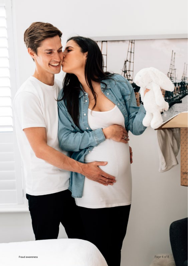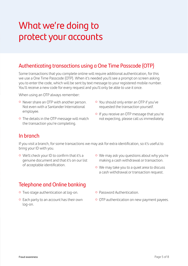## What we're doing to protect your accounts

## Authenticating transactions using a One Time Passcode (OTP)

Some transactions that you complete online will require additional authentication, for this we use a One Time Passcode (OTP). When it's needed you'll see a prompt on screen asking you to enter the code, which will be sent by text message to your registered mobile number. You'll receive a new code for every request and you'll only be able to use it once.

When using an OTP always remember:

- { Never share an OTP with another person. Not even with a Santander International employee.
- { The details in the OTP message will match the transaction you're completing.
- { You should only enter an OTP if you've requested the transaction yourself.
- o If you receive an OTP message that you're not expecting, please call us immediately.

### In branch

If you visit a branch, for some transactions we may ask for extra identification, so it's useful to bring your ID with you.

{ We'll check your ID to confirm that it's a genuine document and that it's on our list of acceptable identification.

## Telephone and Online banking

- **o** Two stage authentication at log-on.
- { Each party to an account has their own log-on.
- o We may ask you questions about why you're making a cash withdrawal or transaction.
- <sup>o</sup> We may take you to a quiet area to discuss a cash withdrawal or transaction request.
- **O** Password Authentication.
- <sup>o</sup> OTP authentication on new payment payees.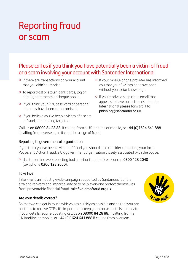## Reporting fraud or scam

## Please call us if you think you have potentially been a victim of fraud or a scam involving your account with Santander International

- o If there are transactions on your account that you didn't authorise.
- { To report lost or stolen bank cards, log on details, statements or cheque books.
- { If you think your PIN, password or personal data may have been compromised.
- { If you believe you've been a victim of a scam or fraud, or are being targeted.
- **o** If your mobile phone provider has informed you that your SIM has been swapped without your prior knowledge.
- **o** If you receive a suspicious email that appears to have come from Santander International please forward it to phishing@santander.co.uk.

Call us on 08000 84 28 88, if calling from a UK landline or mobile, or +44 (0)1624 641 888 if calling from overseas, as it could be a sign of fraud.

### Reporting to governmental organisation

If you think you've been a victim of fraud you should also consider contacting your local Police, and Action Fraud, a UK government organisation closely associated with the police.

{ Use the online web reporting tool at actionfraud.police.uk or call 0300 123 2040 (text phone 0300 123 2050).

#### Take Five

Take Five is an industry-wide campaign supported by Santander. It offers straight-forward and impartial advice to help everyone protect themselves from preventable financial fraud. takefive-stopfraud.org.uk

### Are your details correct?

So that we can get in touch with you as quickly as possible and so that you can continue to receive OTPs, it's important to keep your contact details up to date. If your details require updating call us on 08000 84 28 88, if calling from a UK landline or mobile, or +44 (0)1624 641 888 if calling from overseas.

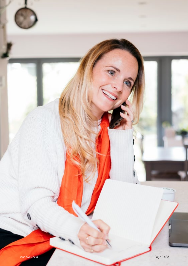